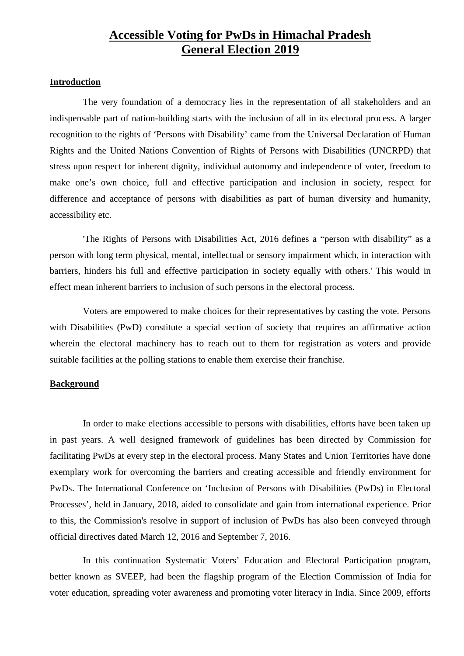# **Accessible Voting for PwDs in Himachal Pradesh General Election 2019**

### **Introduction**

The very foundation of a democracy lies in the representation of all stakeholders and an indispensable part of nation-building starts with the inclusion of all in its electoral process. A larger recognition to the rights of 'Persons with Disability' came from the Universal Declaration of Human Rights and the United Nations Convention of Rights of Persons with Disabilities (UNCRPD) that stress upon respect for inherent dignity, individual autonomy and independence of voter, freedom to make one's own choice, full and effective participation and inclusion in society, respect for difference and acceptance of persons with disabilities as part of human diversity and humanity, accessibility etc.

'The Rights of Persons with Disabilities Act, 2016 defines a "person with disability" as a person with long term physical, mental, intellectual or sensory impairment which, in interaction with barriers, hinders his full and effective participation in society equally with others.' This would in effect mean inherent barriers to inclusion of such persons in the electoral process.

Voters are empowered to make choices for their representatives by casting the vote. Persons with Disabilities (PwD) constitute a special section of society that requires an affirmative action wherein the electoral machinery has to reach out to them for registration as voters and provide suitable facilities at the polling stations to enable them exercise their franchise.

### **Background**

In order to make elections accessible to persons with disabilities, efforts have been taken up in past years. A well designed framework of guidelines has been directed by Commission for facilitating PwDs at every step in the electoral process. Many States and Union Territories have done exemplary work for overcoming the barriers and creating accessible and friendly environment for PwDs. The International Conference on 'Inclusion of Persons with Disabilities (PwDs) in Electoral Processes', held in January, 2018, aided to consolidate and gain from international experience. Prior to this, the Commission's resolve in support of inclusion of PwDs has also been conveyed through official directives dated March 12, 2016 and September 7, 2016.

In this continuation Systematic Voters' Education and Electoral Participation program, better known as SVEEP, had been the flagship program of the Election Commission of India for voter education, spreading voter awareness and promoting voter literacy in India. Since 2009, efforts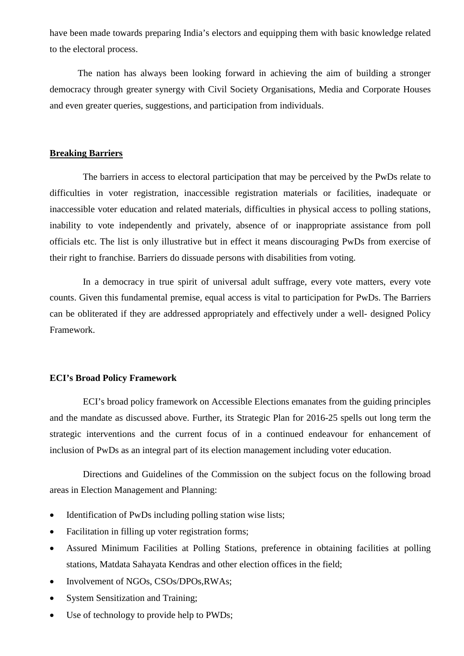have been made towards preparing India's electors and equipping them with basic knowledge related to the electoral process.

The nation has always been looking forward in achieving the aim of building a stronger democracy through greater synergy with Civil Society Organisations, Media and Corporate Houses and even greater queries, suggestions, and participation from individuals.

### **Breaking Barriers**

The barriers in access to electoral participation that may be perceived by the PwDs relate to difficulties in voter registration, inaccessible registration materials or facilities, inadequate or inaccessible voter education and related materials, difficulties in physical access to polling stations, inability to vote independently and privately, absence of or inappropriate assistance from poll officials etc. The list is only illustrative but in effect it means discouraging PwDs from exercise of their right to franchise. Barriers do dissuade persons with disabilities from voting.

In a democracy in true spirit of universal adult suffrage, every vote matters, every vote counts. Given this fundamental premise, equal access is vital to participation for PwDs. The Barriers can be obliterated if they are addressed appropriately and effectively under a well- designed Policy Framework.

### **ECI's Broad Policy Framework**

ECI's broad policy framework on Accessible Elections emanates from the guiding principles and the mandate as discussed above. Further, its Strategic Plan for 2016-25 spells out long term the strategic interventions and the current focus of in a continued endeavour for enhancement of inclusion of PwDs as an integral part of its election management including voter education.

Directions and Guidelines of the Commission on the subject focus on the following broad areas in Election Management and Planning:

- Identification of PwDs including polling station wise lists;
- Facilitation in filling up voter registration forms;
- Assured Minimum Facilities at Polling Stations, preference in obtaining facilities at polling stations, Matdata Sahayata Kendras and other election offices in the field;
- Involvement of NGOs, CSOs/DPOs, RWAs;
- System Sensitization and Training;
- Use of technology to provide help to PWDs;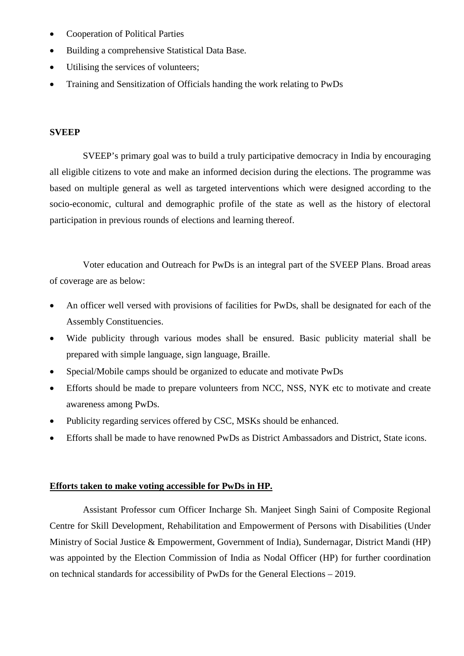- Cooperation of Political Parties
- Building a comprehensive Statistical Data Base.
- Utilising the services of volunteers;
- Training and Sensitization of Officials handing the work relating to PwDs

#### **SVEEP**

SVEEP's primary goal was to build a truly participative democracy in India by encouraging all eligible citizens to vote and make an informed decision during the elections. The programme was based on multiple general as well as targeted interventions which were designed according to the socio-economic, cultural and demographic profile of the state as well as the history of electoral participation in previous rounds of elections and learning thereof.

Voter education and Outreach for PwDs is an integral part of the SVEEP Plans. Broad areas of coverage are as below:

- An officer well versed with provisions of facilities for PwDs, shall be designated for each of the Assembly Constituencies.
- Wide publicity through various modes shall be ensured. Basic publicity material shall be prepared with simple language, sign language, Braille.
- Special/Mobile camps should be organized to educate and motivate PwDs
- Efforts should be made to prepare volunteers from NCC, NSS, NYK etc to motivate and create awareness among PwDs.
- Publicity regarding services offered by CSC, MSKs should be enhanced.
- Efforts shall be made to have renowned PwDs as District Ambassadors and District, State icons.

### **Efforts taken to make voting accessible for PwDs in HP.**

Assistant Professor cum Officer Incharge Sh. Manjeet Singh Saini of Composite Regional Centre for Skill Development, Rehabilitation and Empowerment of Persons with Disabilities (Under Ministry of Social Justice & Empowerment, Government of India), Sundernagar, District Mandi (HP) was appointed by the Election Commission of India as Nodal Officer (HP) for further coordination on technical standards for accessibility of PwDs for the General Elections – 2019.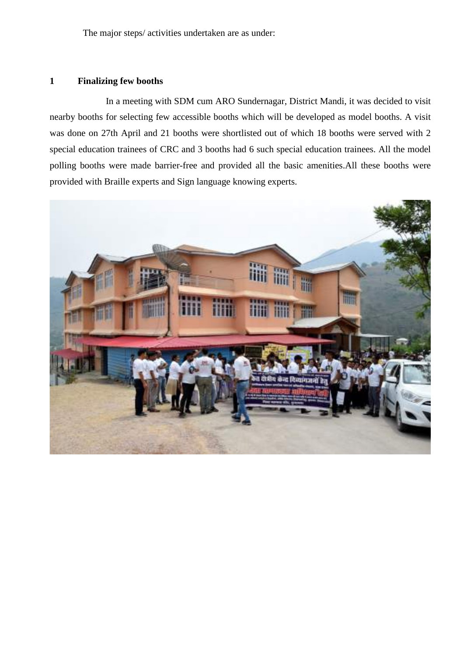The major steps/ activities undertaken are as under:

### **1 Finalizing few booths**

In a meeting with SDM cum ARO Sundernagar, District Mandi, it was decided to visit nearby booths for selecting few accessible booths which will be developed as model booths. A visit was done on 27th April and 21 booths were shortlisted out of which 18 booths were served with 2 special education trainees of CRC and 3 booths had 6 such special education trainees. All the model polling booths were made barrier-free and provided all the basic amenities.All these booths were provided with Braille experts and Sign language knowing experts.

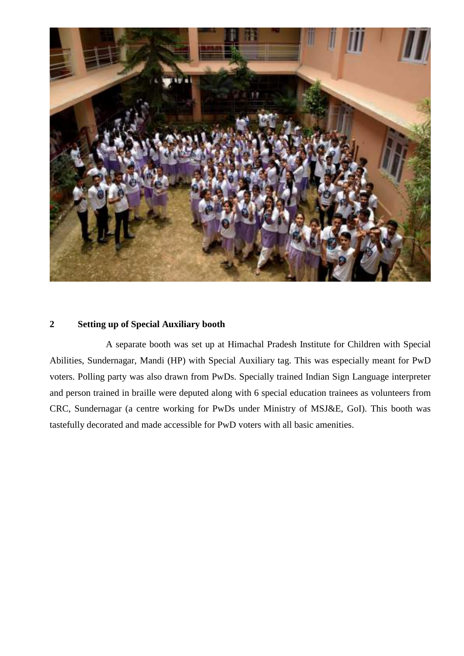

### **2 Setting up of Special Auxiliary booth**

A separate booth was set up at Himachal Pradesh Institute for Children with Special Abilities, Sundernagar, Mandi (HP) with Special Auxiliary tag. This was especially meant for PwD voters. Polling party was also drawn from PwDs. Specially trained Indian Sign Language interpreter and person trained in braille were deputed along with 6 special education trainees as volunteers from CRC, Sundernagar (a centre working for PwDs under Ministry of MSJ&E, GoI). This booth was tastefully decorated and made accessible for PwD voters with all basic amenities.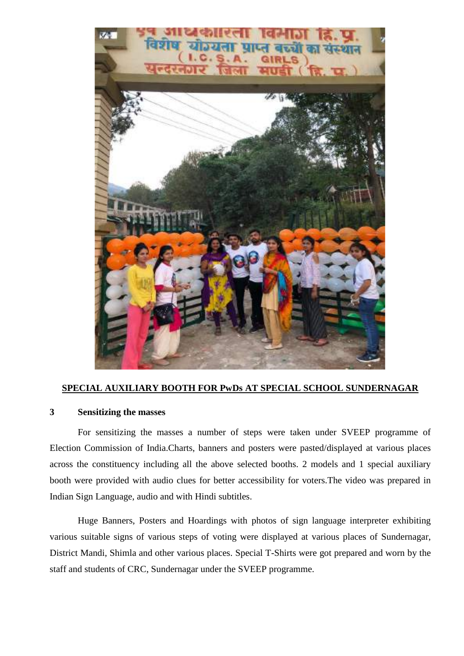

### **SPECIAL AUXILIARY BOOTH FOR PwDs AT SPECIAL SCHOOL SUNDERNAGAR**

### **3 Sensitizing the masses**

For sensitizing the masses a number of steps were taken under SVEEP programme of Election Commission of India.Charts, banners and posters were pasted/displayed at various places across the constituency including all the above selected booths. 2 models and 1 special auxiliary booth were provided with audio clues for better accessibility for voters.The video was prepared in Indian Sign Language, audio and with Hindi subtitles.

Huge Banners, Posters and Hoardings with photos of sign language interpreter exhibiting various suitable signs of various steps of voting were displayed at various places of Sundernagar, District Mandi, Shimla and other various places. Special T-Shirts were got prepared and worn by the staff and students of CRC, Sundernagar under the SVEEP programme.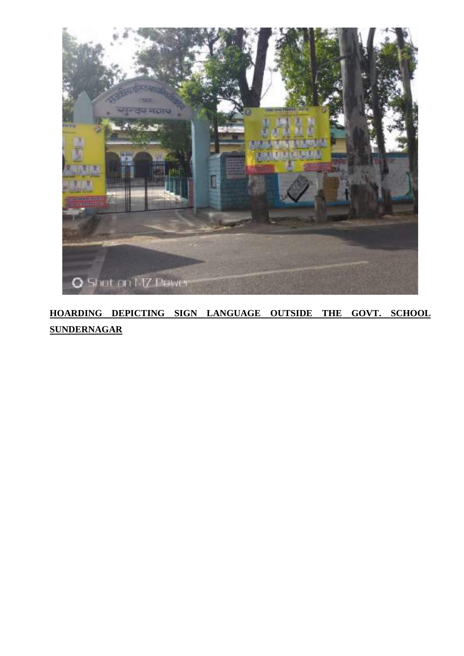![](_page_6_Picture_0.jpeg)

**HOARDING DEPICTING SIGN LANGUAGE OUTSIDE THE GOVT. SCHOOL SUNDERNAGAR**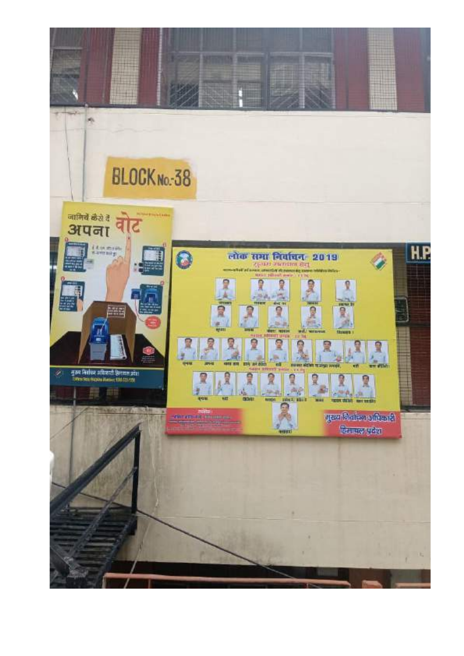![](_page_7_Picture_0.jpeg)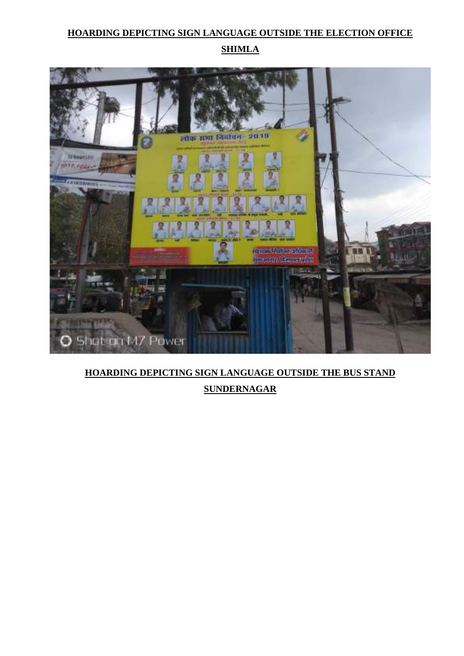## **HOARDING DEPICTING SIGN LANGUAGE OUTSIDE THE ELECTION OFFICE**

**SHIMLA**

![](_page_8_Picture_2.jpeg)

# **HOARDING DEPICTING SIGN LANGUAGE OUTSIDE THE BUS STAND SUNDERNAGAR**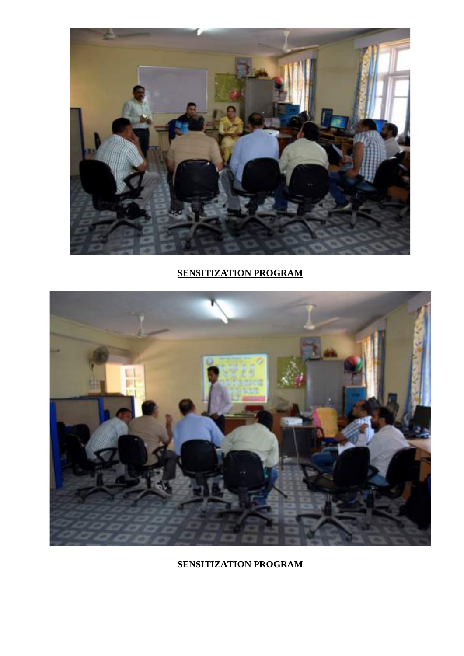![](_page_9_Picture_0.jpeg)

# **SENSITIZATION PROGRAM**

![](_page_9_Picture_2.jpeg)

## **SENSITIZATION PROGRAM**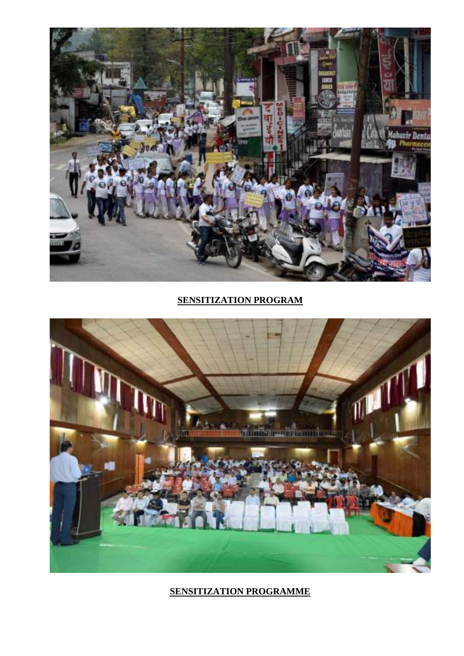## **SENSITIZATION PROGRAMME**

![](_page_10_Picture_1.jpeg)

![](_page_10_Picture_2.jpeg)

**SENSITIZATION PROGRAM**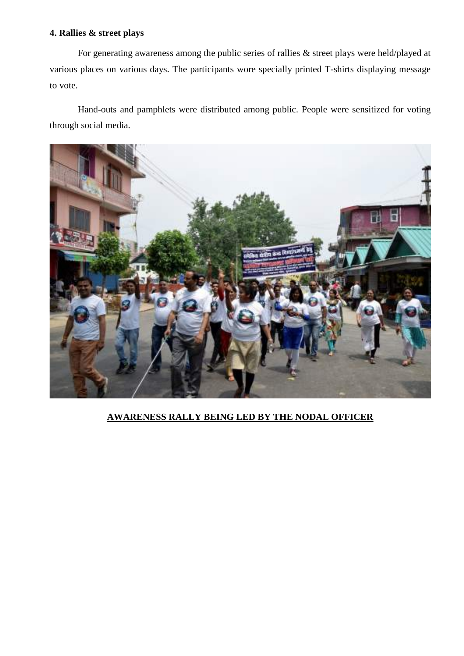## **4. Rallies & street plays**

For generating awareness among the public series of rallies & street plays were held/played at various places on various days. The participants wore specially printed T-shirts displaying message to vote.

Hand-outs and pamphlets were distributed among public. People were sensitized for voting through social media.

![](_page_11_Picture_3.jpeg)

## **AWARENESS RALLY BEING LED BY THE NODAL OFFICER**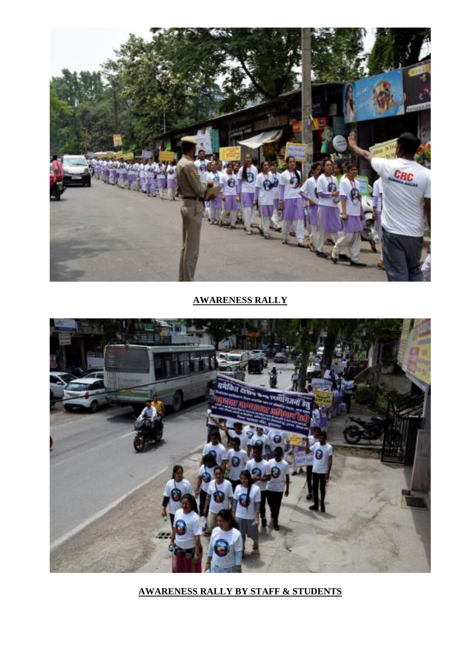![](_page_12_Picture_0.jpeg)

**AWARENESS RALLY**

![](_page_12_Picture_2.jpeg)

**AWARENESS RALLY BY STAFF & STUDENTS**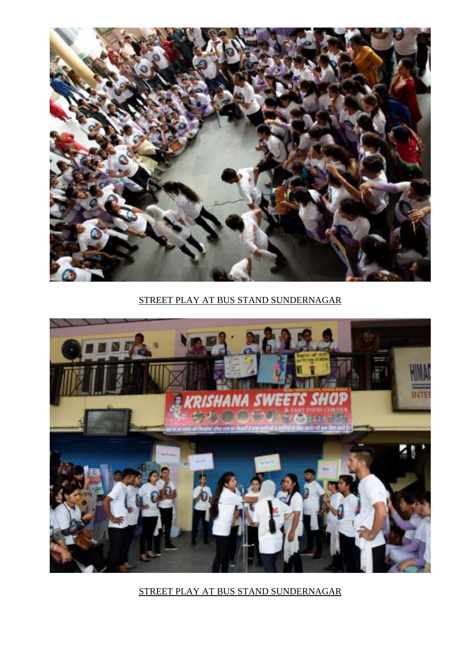![](_page_13_Picture_0.jpeg)

STREET PLAY AT BUS STAND SUNDERNAGAR

![](_page_13_Picture_2.jpeg)

STREET PLAY AT BUS STAND SUNDERNAGAR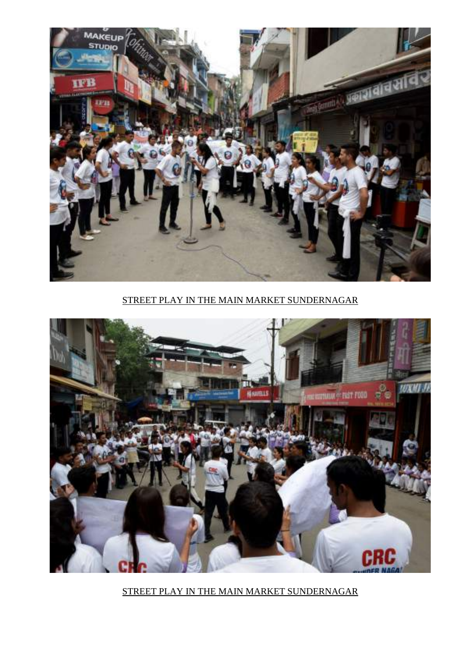![](_page_14_Picture_0.jpeg)

STREET PLAY IN THE MAIN MARKET SUNDERNAGAR

![](_page_14_Picture_2.jpeg)

STREET PLAY IN THE MAIN MARKET SUNDERNAGAR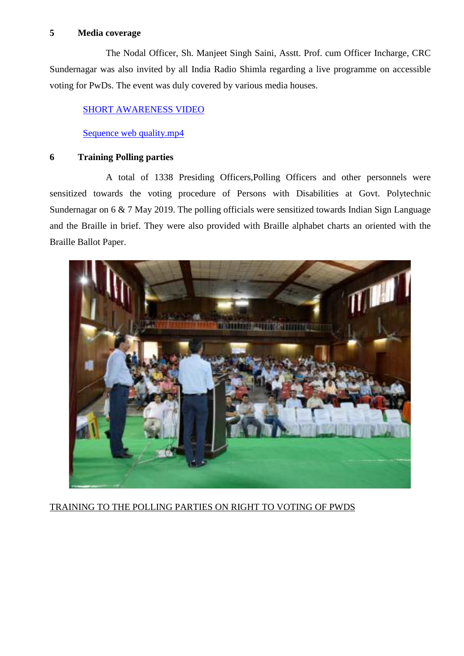### **5 Media coverage**

The Nodal Officer, Sh. Manjeet Singh Saini, Asstt. Prof. cum Officer Incharge, CRC Sundernagar was also invited by all India Radio Shimla regarding a live programme on accessible voting for PwDs. The event was duly covered by various media houses.

## SHORT AWARENESS VIDEO

### Sequence web quality.mp4

### **6 Training Polling parties**

A total of 1338 Presiding Officers,Polling Officers and other personnels were sensitized towards the voting procedure of Persons with Disabilities at Govt. Polytechnic Sundernagar on 6 & 7 May 2019. The polling officials were sensitized towards Indian Sign Language and the Braille in brief. They were also provided with Braille alphabet charts an oriented with the Braille Ballot Paper.

![](_page_15_Picture_6.jpeg)

## TRAINING TO THE POLLING PARTIES ON RIGHT TO VOTING OF PWDS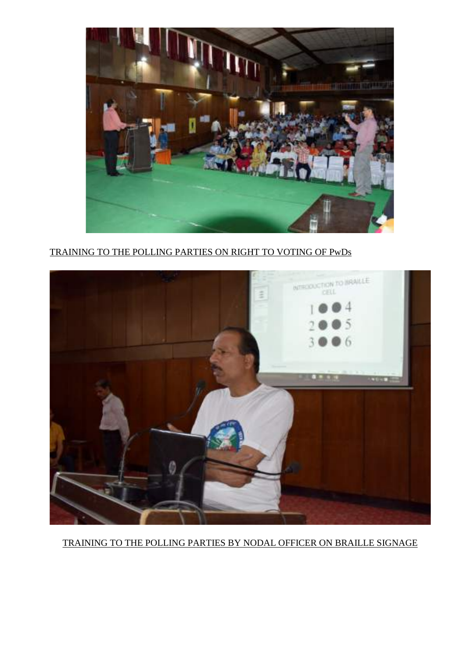![](_page_16_Picture_0.jpeg)

TRAINING TO THE POLLING PARTIES ON RIGHT TO VOTING OF PwDs

![](_page_16_Picture_2.jpeg)

TRAINING TO THE POLLING PARTIES BY NODAL OFFICER ON BRAILLE SIGNAGE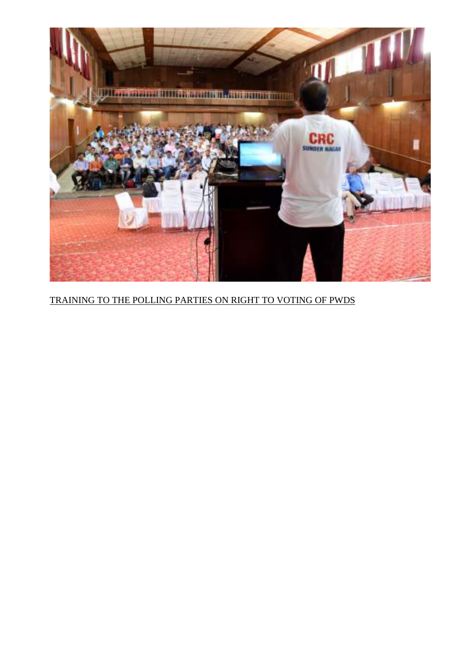![](_page_17_Picture_0.jpeg)

TRAINING TO THE POLLING PARTIES ON RIGHT TO VOTING OF PWDS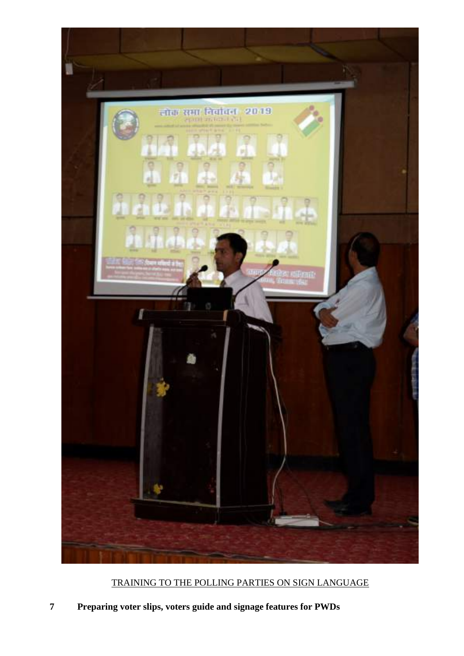![](_page_18_Picture_0.jpeg)

TRAINING TO THE POLLING PARTIES ON SIGN LANGUAGE

**7 Preparing voter slips, voters guide and signage features for PWDs**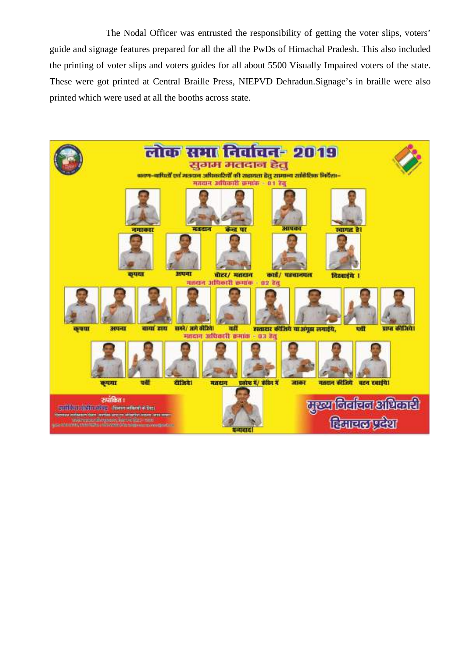The Nodal Officer was entrusted the responsibility of getting the voter slips, voters' guide and signage features prepared for all the all the PwDs of Himachal Pradesh. This also included the printing of voter slips and voters guides for all about 5500 Visually Impaired voters of the state. These were got printed at Central Braille Press, NIEPVD Dehradun.Signage's in braille were also printed which were used at all the booths across state.

![](_page_19_Figure_1.jpeg)